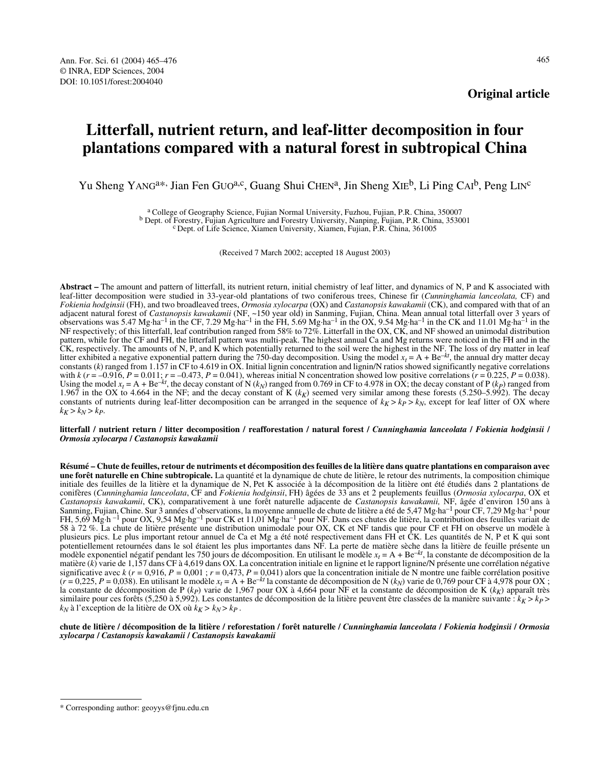# **Litterfall, nutrient return, and leaf-litter decomposition in four plantations compared with a natural forest in subtropical China**

Yu Sheng YANG<sup>a\*,</sup> Jian Fen GUO<sup>a,c</sup>, Guang Shui CHEN<sup>a</sup>, Jin Sheng XIE<sup>b</sup>, Li Ping CAI<sup>b</sup>, Peng LIN<sup>c</sup>

<sup>a</sup> College of Geography Science, Fujian Normal University, Fuzhou, Fujian, P.R. China, 350007<br><sup>b</sup> Dept. of Forestry, Fujian Agriculture and Forestry University, Nanping, Fujian, P.R. China, 353001<br><sup>c</sup> Dept. of Life Scienc

(Received 7 March 2002; accepted 18 August 2003)

**Abstract –** The amount and pattern of litterfall, its nutrient return, initial chemistry of leaf litter, and dynamics of N, P and K associated with leaf-litter decomposition were studied in 33-year-old plantations of two coniferous trees, Chinese fir (*Cunninghamia lanceolata,* CF) and *Fokienia hodginsii* (FH), and two broadleaved trees, *Ormosia xylocarpa* (OX) and *Castanopsis kawakamii* (CK), and compared with that of an adjacent natural forest of *Castanopsis kawakamii* (NF, ~150 year old) in Sanming, Fujian, China. Mean annual total litterfall over 3 years of observations was 5.47 Mg·ha<sup>-1</sup> in the CF, 7.29 Mg·ha<sup>-1</sup> in the FH, 5.69 Mg·ha<sup>-1</sup> in the OX, 9.54 Mg·ha<sup>-1</sup> in the CK and 11.01 Mg·ha<sup>-1</sup> in the NF respectively; of this litterfall, leaf contribution ranged from 58% to 72%. Litterfall in the OX, CK, and NF showed an unimodal distribution pattern, while for the CF and FH, the litterfall pattern was multi-peak. The highest annual Ca and Mg returns were noticed in the FH and in the CK, respectively. The amounts of N, P, and K which potentially returned to the soil were the highest in the NF. The loss of dry matter in leaf<br>litter exhibited a negative exponential pattern during the 750-day decompositi with *k* ( $r = -0.916$ ,  $P = 0.011$ ;  $r = -0.473$ ,  $P = 0.041$ ), whereas initial N concentration showed low positive correlations ( $r = 0.225$ ,  $P = 0.038$ ). Using the model  $x_t = A + Be^{-kt}$ , the decay constant of N ( $k_N$ ) ranged from 0.769 in CF to 4.978 in OX; the decay constant of P ( $k_P$ ) ranged from 1.967 in the OX to 4.664 in the NF; and the decay constant of K  $(k<sub>K</sub>)$  seemed very similar among these forests (5.250–5.992). The decay constants of nutrients during leaf-litter decomposition can be arranged in the sequence of  $k_K > k_P > k_N$ , except for leaf litter of OX where  $k_K > k_N > k_P$ .

#### **litterfall / nutrient return / litter decomposition / reafforestation / natural forest /** *Cunninghamia lanceolata* **/** *Fokienia hodginsii* **/** *Ormosia xylocarpa* **/** *Castanopsis kawakamii*

**Résumé – Chute de feuilles, retour de nutriments et décomposition des feuilles de la litière dans quatre plantations en comparaison avec une forêt naturelle en Chine subtropicale.** La quantité et la dynamique de chute de litière, le retour des nutriments, la composition chimique initiale des feuilles de la litière et la dynamique de N, Pet K associée à la décomposition de la litière ont été étudiés dans 2 plantations de conifères (*Cunninghamia lanceolata*, CF and *Fokienia hodginsii*, FH) âgées de 33 ans et 2 peuplements feuillus (*Ormosia xylocarpa*, OX et *Castanopsis kawakamii*, CK), comparativement à une forêt naturelle adjacente de *Castanopsis kawakamii,* NF, âgée d'environ 150 ans à Sanming, Fujian, Chine. Sur 3 années d'observations, la moyenne annuelle de chute de litière a été de 5,47 Mg·ha<sup>-1</sup> pour CF, 7,29 Mg·ha<sup>-1</sup> pour FH, 5,69 Mg·h <sup>-1</sup> pour OX, 9,54 Mg·hg<sup>-1</sup> pour CK et 11,01 Mg·ha<sup>-1</sup> pour NF. Dans ces chutes de litière, la contribution des feuilles variait de 58 à 72 %. La chute de litière présente une distribution unimodale pour OX, CK et NF tandis que pour CF et FH on observe un modèle à plusieurs pics. Le plus important retour annuel de Ca et Mg a été noté respectivement dans FH et CK. Les quantités de N, P et K qui sont potentiellement retournées dans le sol étaient les plus importantes dans NF. La perte de matière sèche dans la litière de feuille présente un modèle exponentiel négatif pendant les 750 jours de décomposition. En utilisant le modèle  $x_t = A + Be^{-kt}$ , la constante de décomposition de la matière (*k*) varie de 1,157 dans CF à 4,619 dans OX. La concentration initiale en lignine et le rapport lignine/N présente une corrélation négative significative avec  $k$  ( $r = 0.916$ ,  $P = 0.001$ ;  $r = 0.473$ ,  $P = 0.041$ ) alors que la concentration initiale de N montre une faible corrélation positive  $(r = 0.225, P = 0.038)$ . En utilisant le modèle  $x_t = A + Be^{-kt}$  la constante de décomposition de N  $(k_N)$  varie de 0,769 pour CF à 4,978 pour OX ; la constante de décomposition de P (*kP*) varie de 1,967 pour OX à 4,664 pour NF et la constante de décomposition de K (*kK*) apparaît très similaire pour ces forêts (5,250 à 5,992). Les constantes de décomposition de la litière peuvent être classées de la manière suivante :  $k_K > k_P$  $k_N$  à l'exception de la litière de OX où  $k_K > k_N > k_P$ .

**chute de litière / décomposition de la litière / reforestation / forêt naturelle /** *Cunninghamia lanceolata* **/** *Fokienia hodginsii* **/** *Ormosia xylocarpa* **/** *Castanopsis kawakamii* **/** *Castanopsis kawakamii*

<sup>\*</sup> Corresponding author: geoyys@fjnu.edu.cn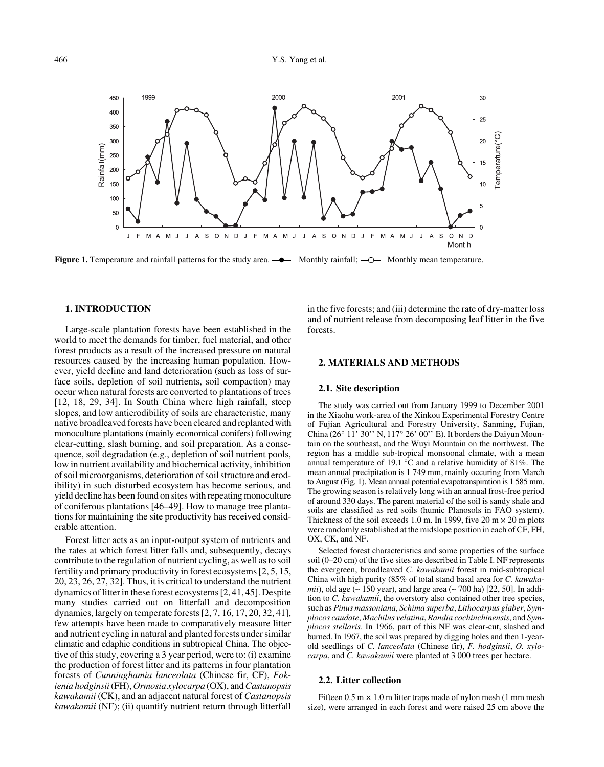

**Figure 1.** Temperature and rainfall patterns for the study area. ● Monthly rainfall; Monthly mean temperature.

# **1. INTRODUCTION**

Large-scale plantation forests have been established in the world to meet the demands for timber, fuel material, and other forest products as a result of the increased pressure on natural resources caused by the increasing human population. However, yield decline and land deterioration (such as loss of surface soils, depletion of soil nutrients, soil compaction) may occur when natural forests are converted to plantations of trees [12, 18, 29, 34]. In South China where high rainfall, steep slopes, and low antierodibility of soils are characteristic, many native broadleaved forests have been cleared and replanted with monoculture plantations (mainly economical conifers) following clear-cutting, slash burning, and soil preparation. As a consequence, soil degradation (e.g., depletion of soil nutrient pools, low in nutrient availability and biochemical activity, inhibition of soil microorganisms, deterioration of soil structure and erodibility) in such disturbed ecosystem has become serious, and yield decline has been found on sites with repeating monoculture of coniferous plantations [46–49]. How to manage tree plantations for maintaining the site productivity has received considerable attention.

Forest litter acts as an input-output system of nutrients and the rates at which forest litter falls and, subsequently, decays contribute to the regulation of nutrient cycling, as well as to soil fertility and primary productivity in forest ecosystems [2, 5, 15, 20, 23, 26, 27, 32]. Thus, it is critical to understand the nutrient dynamics of litter in these forest ecosystems [2, 41, 45]. Despite many studies carried out on litterfall and decomposition dynamics, largely on temperate forests [2, 7, 16, 17, 20, 32, 41], few attempts have been made to comparatively measure litter and nutrient cycling in natural and planted forests under similar climatic and edaphic conditions in subtropical China. The objective of this study, covering a 3 year period, were to: (i) examine the production of forest litter and its patterns in four plantation forests of *Cunninghamia lanceolata* (Chinese fir, CF), *Fokienia hodginsii* (FH), *Ormosia xylocarpa* (OX), and *Castanopsis kawakamii* (CK), and an adjacent natural forest of *Castanopsis kawakamii* (NF); (ii) quantify nutrient return through litterfall in the five forests; and (iii) determine the rate of dry-matter loss and of nutrient release from decomposing leaf litter in the five forests.

#### **2. MATERIALS AND METHODS**

## **2.1. Site description**

The study was carried out from January 1999 to December 2001 in the Xiaohu work-area of the Xinkou Experimental Forestry Centre of Fujian Agricultural and Forestry University, Sanming, Fujian, China (26° 11' 30'' N, 117° 26' 00'' E). It borders the Daiyun Mountain on the southeast, and the Wuyi Mountain on the northwest. The region has a middle sub-tropical monsoonal climate, with a mean annual temperature of 19.1  $\degree$ C and a relative humidity of 81%. The mean annual precipitation is 1 749 mm, mainly occuring from March to August (Fig. 1). Mean annual potential evapotranspiration is 1 585 mm. The growing season is relatively long with an annual frost-free period of around 330 days. The parent material of the soil is sandy shale and soils are classified as red soils (humic Planosols in FAO system). Thickness of the soil exceeds 1.0 m. In 1999, five 20 m  $\times$  20 m plots were randomly established at the midslope position in each of CF, FH, OX, CK, and NF.

Selected forest characteristics and some properties of the surface soil (0–20 cm) of the five sites are described in Table I. NF represents the evergreen, broadleaved *C. kawakamii* forest in mid-subtropical China with high purity (85% of total stand basal area for *C. kawakamii*), old age (~ 150 year), and large area (~ 700 ha) [22, 50]. In addition to *C. kawakamii*, the overstory also contained other tree species, such as *Pinus massoniana*, *Schima superba*, *Lithocarpus glaber*, *Symplocos caudate*, *Machilus velatina*, *Randia cochinchinensis*, and *Symplocos stellaris*. In 1966, part of this NF was clear-cut, slashed and burned. In 1967, the soil was prepared by digging holes and then 1-yearold seedlings of *C. lanceolata* (Chinese fir), *F. hodginsii*, *O. xylocarpa*, and *C. kawakamii* were planted at 3 000 trees per hectare.

## **2.2. Litter collection**

Fifteen  $0.5 \text{ m} \times 1.0 \text{ m}$  litter traps made of nylon mesh (1 mm mesh) size), were arranged in each forest and were raised 25 cm above the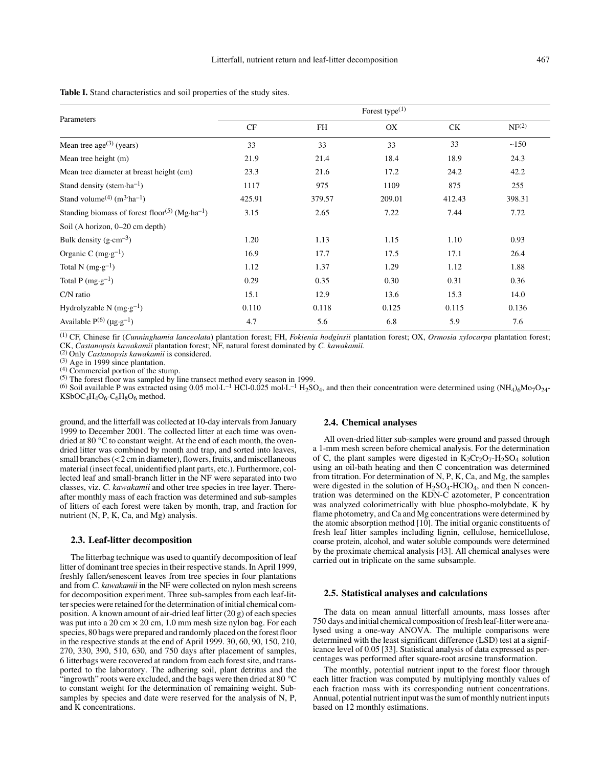|                                                                        | Forest type $(1)$ |        |        |        |                   |  |  |  |
|------------------------------------------------------------------------|-------------------|--------|--------|--------|-------------------|--|--|--|
| Parameters                                                             | CF                | FH     | OX     | CK     | NF <sup>(2)</sup> |  |  |  |
| Mean tree $age^{(3)}$ (years)                                          | 33                | 33     | 33     | 33     | ~150              |  |  |  |
| Mean tree height (m)                                                   | 21.9              | 21.4   | 18.4   | 18.9   | 24.3              |  |  |  |
| Mean tree diameter at breast height (cm)                               | 23.3              | 21.6   | 17.2   | 24.2   | 42.2              |  |  |  |
| Stand density (stem $\cdot$ ha <sup>-1</sup> )                         | 1117              | 975    | 1109   | 875    | 255               |  |  |  |
| Stand volume <sup>(4)</sup> ( $m^3$ ·ha <sup>-1</sup> )                | 425.91            | 379.57 | 209.01 | 412.43 | 398.31            |  |  |  |
| Standing biomass of forest floor <sup>(5)</sup> (Mg·ha <sup>-1</sup> ) | 3.15              | 2.65   | 7.22   | 7.44   | 7.72              |  |  |  |
| Soil (A horizon, 0–20 cm depth)                                        |                   |        |        |        |                   |  |  |  |
| Bulk density $(g \cdot cm^{-3})$                                       | 1.20              | 1.13   | 1.15   | 1.10   | 0.93              |  |  |  |
| Organic C $(mg \cdot g^{-1})$                                          | 16.9              | 17.7   | 17.5   | 17.1   | 26.4              |  |  |  |
| Total N $(mg·g-1)$                                                     | 1.12              | 1.37   | 1.29   | 1.12   | 1.88              |  |  |  |
| Total P $(mg \cdot g^{-1})$                                            | 0.29              | 0.35   | 0.30   | 0.31   | 0.36              |  |  |  |
| C/N ratio                                                              | 15.1              | 12.9   | 13.6   | 15.3   | 14.0              |  |  |  |
| Hydrolyzable N $(mg \cdot g^{-1})$                                     | 0.110             | 0.118  | 0.125  | 0.115  | 0.136             |  |  |  |
| Available $P^{(6)}$ (µg·g <sup>-1</sup> )                              | 4.7               | 5.6    | 6.8    | 5.9    | 7.6               |  |  |  |

**Table I.** Stand characteristics and soil properties of the study sites.

(1) CF, Chinese fir (*Cunninghamia lanceolata*) plantation forest; FH, *Fokienia hodginsii* plantation forest; OX, *Ormosia xylocarpa* plantation forest; CK, *Castanopsis kawakamii* plantation forest; NF, natural forest dominated by *C. kawakamii*. (2) Only *Castanopsis kawakamii* is considered.

<sup>(4)</sup> Commercial portion of the stump.<br><sup>(5)</sup> The forest floor was sampled by line transect method every season in 1999.<br><sup>(5)</sup> Soil available P was extracted using 0.05 mol·L<sup>-1</sup> HCl-0.025 mol·L<sup>-1</sup> H<sub>2</sub>SO<sub>4</sub>, and then the  $KSbOC<sub>4</sub>H<sub>4</sub>O<sub>6</sub>-C<sub>6</sub>H<sub>8</sub>O<sub>6</sub>$  method.

ground, and the litterfall was collected at 10-day intervals from January 1999 to December 2001. The collected litter at each time was ovendried at 80 °C to constant weight. At the end of each month, the ovendried litter was combined by month and trap, and sorted into leaves, small branches (< 2 cm in diameter), flowers, fruits, and miscellaneous material (insect fecal, unidentified plant parts, etc.). Furthermore, collected leaf and small-branch litter in the NF were separated into two classes, viz. *C. kawakamii* and other tree species in tree layer. Thereafter monthly mass of each fraction was determined and sub-samples of litters of each forest were taken by month, trap, and fraction for nutrient (N, P, K, Ca, and Mg) analysis.

# **2.3. Leaf-litter decomposition**

The litterbag technique was used to quantify decomposition of leaf litter of dominant tree species in their respective stands. In April 1999, freshly fallen/senescent leaves from tree species in four plantations and from *C. kawakamii* in the NF were collected on nylon mesh screens for decomposition experiment. Three sub-samples from each leaf-litter species were retained for the determination of initial chemical composition. A known amount of air-dried leaf litter (20 g) of each species was put into a 20 cm  $\times$  20 cm, 1.0 mm mesh size nylon bag. For each species, 80 bags were prepared and randomly placed on the forest floor in the respective stands at the end of April 1999. 30, 60, 90, 150, 210, 270, 330, 390, 510, 630, and 750 days after placement of samples, 6 litterbags were recovered at random from each forest site, and transported to the laboratory. The adhering soil, plant detritus and the "ingrowth" roots were excluded, and the bags were then dried at 80  $^{\circ}$ C to constant weight for the determination of remaining weight. Subsamples by species and date were reserved for the analysis of N, P, and K concentrations.

# **2.4. Chemical analyses**

All oven-dried litter sub-samples were ground and passed through a 1-mm mesh screen before chemical analysis. For the determination of C, the plant samples were digested in  $K_2Cr_2O_7-H_2SO_4$  solution using an oil-bath heating and then C concentration was determined from titration. For determination of N, P, K, Ca, and Mg, the samples were digested in the solution of  $H_2SO_4$ -HClO<sub>4</sub>, and then N concentration was determined on the KDN-C azotometer, P concentration was analyzed colorimetrically with blue phospho-molybdate, K by flame photometry, and Ca and Mg concentrations were determined by the atomic absorption method [10]. The initial organic constituents of fresh leaf litter samples including lignin, cellulose, hemicellulose, coarse protein, alcohol, and water soluble compounds were determined by the proximate chemical analysis [43]. All chemical analyses were carried out in triplicate on the same subsample.

#### **2.5. Statistical analyses and calculations**

The data on mean annual litterfall amounts, mass losses after 750 days and initial chemical composition of fresh leaf-litter were analysed using a one-way ANOVA. The multiple comparisons were determined with the least significant difference (LSD) test at a significance level of 0.05 [33]. Statistical analysis of data expressed as percentages was performed after square-root arcsine transformation.

The monthly, potential nutrient input to the forest floor through each litter fraction was computed by multiplying monthly values of each fraction mass with its corresponding nutrient concentrations. Annual, potential nutrient input was the sum of monthly nutrient inputs based on 12 monthly estimations.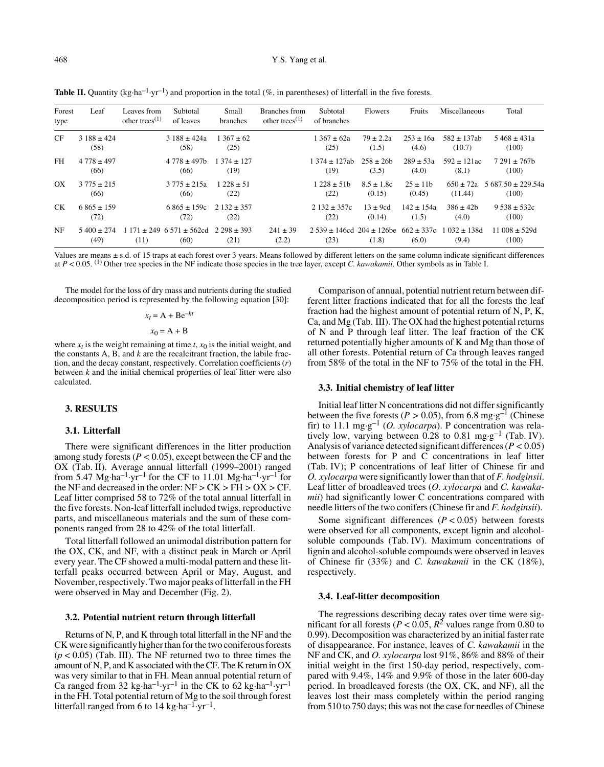| Forest<br>type | Leaf                    | Leaves from<br>other trees <sup><math>(1)</math></sup> | Subtotal<br>of leaves                                    | Small<br>branches       | Branches from<br>other trees <sup><math>(1)</math></sup> | Subtotal<br>of branches                                                       | <b>Flowers</b>           | Fruits                  | Miscellaneous              | Total                          |
|----------------|-------------------------|--------------------------------------------------------|----------------------------------------------------------|-------------------------|----------------------------------------------------------|-------------------------------------------------------------------------------|--------------------------|-------------------------|----------------------------|--------------------------------|
| CF.            | $3188 \pm 424$<br>(58)  |                                                        | $3188 \pm 424a$<br>(58)                                  | $1.367 \pm 62$<br>(25)  |                                                          | $1.367 \pm 62a$<br>(25)                                                       | $79 \pm 2.2a$<br>(1.5)   | $253 \pm 16a$<br>(4.6)  | $582 \pm 137$ ab<br>(10.7) | $5.468 \pm 431a$<br>(100)      |
| FH             | $4778 \pm 497$<br>(66)  |                                                        | $4.778 \pm 497$<br>(66)                                  | $1.374 \pm 127$<br>(19) |                                                          | $1.374 \pm 127$ ab<br>(19)                                                    | $258 \pm 26$ h<br>(3.5)  | $289 \pm 53a$<br>(4.0)  | $592 \pm 121$ ac<br>(8.1)  | $7291 \pm 767$<br>(100)        |
| OX             | $3775 \pm 215$<br>(66)  |                                                        | $3.775 \pm 215a$<br>(66)                                 | $1228 \pm 51$<br>(22)   |                                                          | $1228 \pm 51b$<br>(22)                                                        | $8.5 \pm 1.8c$<br>(0.15) | $25 \pm 11h$<br>(0.45)  | $650 \pm 72a$<br>(11.44)   | $5687.50 \pm 229.54a$<br>(100) |
| CK.            | $6.865 \pm 159$<br>(72) |                                                        | $6.865 \pm 159c$<br>(72)                                 | $2132 \pm 357$<br>(22)  |                                                          | $2132 \pm 357c$<br>(22)                                                       | $13 \pm 9cd$<br>(0.14)   | $142 \pm 154a$<br>(1.5) | $386 \pm 42h$<br>(4.0)     | $9.538 \pm 532c$<br>(100)      |
| NF             | $5400 \pm 274$<br>(49)  | (11)                                                   | $1171 \pm 249$ 6.571 $\pm$ 562cd 2.298 $\pm$ 393<br>(60) | (21)                    | $241 \pm 39$<br>(2.2)                                    | $2.539 \pm 146$ cd $204 \pm 126$ be $662 \pm 337$ c $1.032 \pm 138$ d<br>(23) | (1.8)                    | (6.0)                   | (9.4)                      | $11008 \pm 529d$<br>(100)      |

**Table II.** Quantity (kg·ha<sup>-1</sup>·yr<sup>-1</sup>) and proportion in the total (%, in parentheses) of litterfall in the five forests.

Values are means ± s.d. of 15 traps at each forest over 3 years. Means followed by different letters on the same column indicate significant differences at *P* < 0.05. (1) Other tree species in the NF indicate those species in the tree layer, except *C. kawakamii*. Other symbols as in Table I.

The model for the loss of dry mass and nutrients during the studied decomposition period is represented by the following equation [30]:

 $x_t = A + Be^{-kt}$ 

 $x_0 = A + B$ 

where  $x_t$  is the weight remaining at time  $t$ ,  $x_0$  is the initial weight, and the constants A, B, and *k* are the recalcitrant fraction, the labile fraction, and the decay constant, respectively. Correlation coefficients (*r*) between *k* and the initial chemical properties of leaf litter were also calculated.

## **3. RESULTS**

#### **3.1. Litterfall**

There were significant differences in the litter production among study forests ( $P < 0.05$ ), except between the CF and the OX (Tab. II). Average annual litterfall (1999–2001) ranged from 5.47 Mg·ha<sup>-1</sup>·yr<sup>-1</sup> for the CF to 11.01 Mg·ha<sup>-1</sup>·yr<sup>-1</sup> for the NF and decreased in the order:  $NF > CK > FH > OX > CF$ . Leaf litter comprised 58 to 72% of the total annual litterfall in the five forests. Non-leaf litterfall included twigs, reproductive parts, and miscellaneous materials and the sum of these components ranged from 28 to 42% of the total litterfall.

Total litterfall followed an unimodal distribution pattern for the OX, CK, and NF, with a distinct peak in March or April every year. The CF showed a multi-modal pattern and these litterfall peaks occurred between April or May, August, and November, respectively. Two major peaks of litterfall in the FH were observed in May and December (Fig. 2).

## **3.2. Potential nutrient return through litterfall**

Returns of N, P, and K through total litterfall in the NF and the CK were significantly higher than for the two coniferous forests  $(p < 0.05)$  (Tab. III). The NF returned two to three times the amount of N, P, and K associated with the CF. The K return in OX was very similar to that in FH. Mean annual potential return of Ca ranged from 32 kg·ha<sup>-1</sup>·yr<sup>-1</sup> in the CK to 62 kg·ha<sup>-1</sup>·yr<sup>-1</sup> in the FH. Total potential return of Mg to the soil through forest litterfall ranged from 6 to 14 kg $\cdot$ ha<sup>-1</sup> $\cdot$ yr<sup>-1</sup>.

Comparison of annual, potential nutrient return between different litter fractions indicated that for all the forests the leaf fraction had the highest amount of potential return of N, P, K, Ca, and Mg (Tab. III). The OX had the highest potential returns of N and P through leaf litter. The leaf fraction of the CK returned potentially higher amounts of K and Mg than those of all other forests. Potential return of Ca through leaves ranged from 58% of the total in the NF to 75% of the total in the FH.

## **3.3. Initial chemistry of leaf litter**

Initial leaf litter N concentrations did not differ significantly between the five forests ( $P > 0.05$ ), from 6.8 mg·g<sup>-1</sup> (Chinese fir) to 11.1 mg·g–1 (*O. xylocarpa*). P concentration was relatively low, varying between  $0.28$  to  $0.81$  mg·g<sup>-1</sup> (Tab. IV). Analysis of variance detected significant differences (*P* < 0.05) between forests for P and C concentrations in leaf litter (Tab. IV); P concentrations of leaf litter of Chinese fir and *O. xylocarpa* were significantly lower than that of *F. hodginsii*. Leaf litter of broadleaved trees (*O. xylocarpa* and *C. kawakamii*) had significantly lower C concentrations compared with needle litters of the two conifers (Chinese fir and *F. hodginsii*).

Some significant differences (*P* < 0.05) between forests were observed for all components, except lignin and alcoholsoluble compounds (Tab. IV). Maximum concentrations of lignin and alcohol-soluble compounds were observed in leaves of Chinese fir (33%) and *C. kawakamii* in the CK (18%), respectively.

#### **3.4. Leaf-litter decomposition**

The regressions describing decay rates over time were significant for all forests ( $P < 0.05$ ,  $R^2$  values range from 0.80 to 0.99). Decomposition was characterized by an initial faster rate of disappearance. For instance, leaves of *C. kawakamii* in the NF and CK, and *O. xylocarpa* lost 91%, 86% and 88% of their initial weight in the first 150-day period, respectively, compared with 9.4%, 14% and 9.9% of those in the later 600-day period. In broadleaved forests (the OX, CK, and NF), all the leaves lost their mass completely within the period ranging from 510 to 750 days; this was not the case for needles of Chinese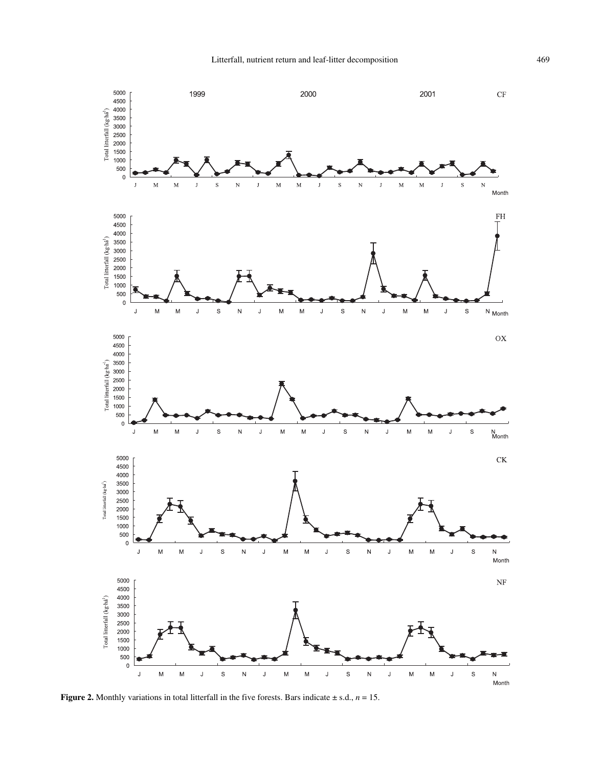

**Figure 2.** Monthly variations in total litterfall in the five forests. Bars indicate  $\pm$  s.d.,  $n = 15$ .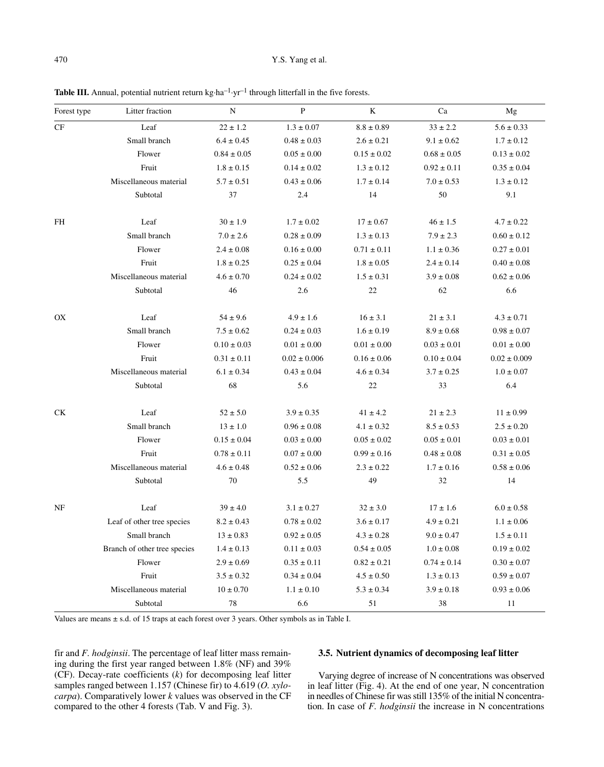| Forest type   | Litter fraction              | N               | P                | K               | Ca              | Mg               |
|---------------|------------------------------|-----------------|------------------|-----------------|-----------------|------------------|
| $\cal{CF}$    | Leaf                         | $22 \pm 1.2$    | $1.3 \pm 0.07$   | $8.8 \pm 0.89$  | $33 \pm 2.2$    | $5.6 \pm 0.33$   |
|               | Small branch                 | $6.4 \pm 0.45$  | $0.48 \pm 0.03$  | $2.6 \pm 0.21$  | $9.1 \pm 0.62$  | $1.7 \pm 0.12$   |
|               | Flower                       | $0.84 \pm 0.05$ | $0.05 \pm 0.00$  | $0.15 \pm 0.02$ | $0.68 \pm 0.05$ | $0.13 \pm 0.02$  |
|               | Fruit                        | $1.8 \pm 0.15$  | $0.14 \pm 0.02$  | $1.3 \pm 0.12$  | $0.92 \pm 0.11$ | $0.35 \pm 0.04$  |
|               | Miscellaneous material       | $5.7 \pm 0.51$  | $0.43 \pm 0.06$  | $1.7 \pm 0.14$  | $7.0 \pm 0.53$  | $1.3 \pm 0.12$   |
|               | Subtotal                     | 37              | 2.4              | 14              | 50              | 9.1              |
| FH            | Leaf                         | $30 \pm 1.9$    | $1.7 \pm 0.02$   | $17 \pm 0.67$   | $46 \pm 1.5$    | $4.7 \pm 0.22$   |
|               | Small branch                 | $7.0 \pm 2.6$   | $0.28 \pm 0.09$  | $1.3 \pm 0.13$  | $7.9 \pm 2.3$   | $0.60 \pm 0.12$  |
|               | Flower                       | $2.4 \pm 0.08$  | $0.16 \pm 0.00$  | $0.71 \pm 0.11$ | $1.1 \pm 0.36$  | $0.27 \pm 0.01$  |
|               | Fruit                        | $1.8 \pm 0.25$  | $0.25 \pm 0.04$  | $1.8 \pm 0.05$  | $2.4 \pm 0.14$  | $0.40 \pm 0.08$  |
|               | Miscellaneous material       | $4.6 \pm 0.70$  | $0.24 \pm 0.02$  | $1.5 \pm 0.31$  | $3.9 \pm 0.08$  | $0.62 \pm 0.06$  |
|               | Subtotal                     | 46              | 2.6              | 22              | 62              | 6.6              |
| $\mathbf{OX}$ | Leaf                         | $54 \pm 9.6$    | $4.9 \pm 1.6$    | $16 \pm 3.1$    | $21 \pm 3.1$    | $4.3 \pm 0.71$   |
|               | Small branch                 | $7.5 \pm 0.62$  | $0.24 \pm 0.03$  | $1.6 \pm 0.19$  | $8.9\pm0.68$    | $0.98 \pm 0.07$  |
|               | Flower                       | $0.10 \pm 0.03$ | $0.01 \pm 0.00$  | $0.01 \pm 0.00$ | $0.03 \pm 0.01$ | $0.01 \pm 0.00$  |
|               | Fruit                        | $0.31 \pm 0.11$ | $0.02 \pm 0.006$ | $0.16 \pm 0.06$ | $0.10 \pm 0.04$ | $0.02 \pm 0.009$ |
|               | Miscellaneous material       | $6.1 \pm 0.34$  | $0.43 \pm 0.04$  | $4.6 \pm 0.34$  | $3.7\pm0.25$    | $1.0 \pm 0.07$   |
|               | Subtotal                     | 68              | 5.6              | 22              | 33              | 6.4              |
| CK            | Leaf                         | $52 \pm 5.0$    | $3.9 \pm 0.35$   | $41 \pm 4.2$    | $21 \pm 2.3$    | $11 \pm 0.99$    |
|               | Small branch                 | $13 \pm 1.0$    | $0.96 \pm 0.08$  | $4.1 \pm 0.32$  | $8.5 \pm 0.53$  | $2.5 \pm 0.20$   |
|               | Flower                       | $0.15 \pm 0.04$ | $0.03 \pm 0.00$  | $0.05 \pm 0.02$ | $0.05 \pm 0.01$ | $0.03 \pm 0.01$  |
|               | Fruit                        | $0.78 \pm 0.11$ | $0.07 \pm 0.00$  | $0.99 \pm 0.16$ | $0.48\pm0.08$   | $0.31 \pm 0.05$  |
|               | Miscellaneous material       | $4.6\pm0.48$    | $0.52 \pm 0.06$  | $2.3 \pm 0.22$  | $1.7 \pm 0.16$  | $0.58 \pm 0.06$  |
|               | Subtotal                     | 70              | 5.5              | 49              | 32              | 14               |
| NF            | Leaf                         | $39 \pm 4.0$    | $3.1 \pm 0.27$   | $32 \pm 3.0$    | $17 \pm 1.6$    | $6.0 \pm 0.58$   |
|               | Leaf of other tree species   | $8.2 \pm 0.43$  | $0.78 \pm 0.02$  | $3.6 \pm 0.17$  | $4.9\pm0.21$    | $1.1 \pm 0.06$   |
|               | Small branch                 | $13\pm0.83$     | $0.92\pm0.05$    | $4.3\pm0.28$    | $9.0\pm0.47$    | $1.5\pm0.11$     |
|               | Branch of other tree species | $1.4 \pm 0.13$  | $0.11 \pm 0.03$  | $0.54 \pm 0.05$ | $1.0 \pm 0.08$  | $0.19 \pm 0.02$  |
|               | Flower                       | $2.9 \pm 0.69$  | $0.35 \pm 0.11$  | $0.82 \pm 0.21$ | $0.74 \pm 0.14$ | $0.30 \pm 0.07$  |
|               | Fruit                        | $3.5 \pm 0.32$  | $0.34\pm0.04$    | $4.5 \pm 0.50$  | $1.3\pm0.13$    | $0.59 \pm 0.07$  |
|               | Miscellaneous material       | $10\pm0.70$     | $1.1 \pm 0.10$   | $5.3 \pm 0.34$  | $3.9\pm0.18$    | $0.93 \pm 0.06$  |
|               | Subtotal                     | $78\,$          | 6.6              | 51              | $38\,$          | 11               |

Table III. Annual, potential nutrient return kg·ha<sup>-1</sup>·yr<sup>-1</sup> through litterfall in the five forests.

Values are means ± s.d. of 15 traps at each forest over 3 years. Other symbols as in Table I.

fir and *F. hodginsii*. The percentage of leaf litter mass remaining during the first year ranged between 1.8% (NF) and 39% (CF). Decay-rate coefficients (*k*) for decomposing leaf litter samples ranged between 1.157 (Chinese fir) to 4.619 (*O. xylocarpa*). Comparatively lower *k* values was observed in the CF compared to the other 4 forests (Tab. V and Fig. 3).

# **3.5. Nutrient dynamics of decomposing leaf litter**

Varying degree of increase of N concentrations was observed in leaf litter (Fig. 4). At the end of one year, N concentration in needles of Chinese fir was still 135% of the initial N concentration. In case of *F. hodginsii* the increase in N concentrations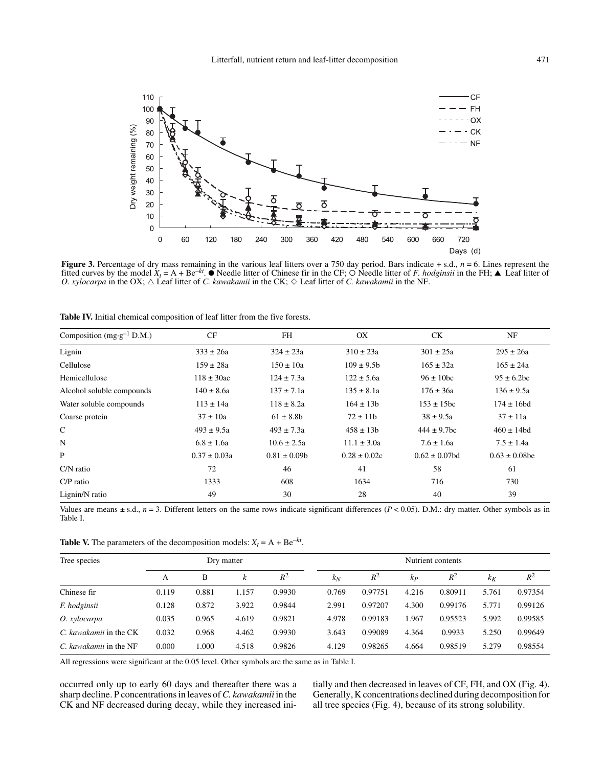

**Figure 3.** Percentage of dry mass remaining in the various leaf litters over a 750 day period. Bars indicate + s.d.,  $n = 6$ . Lines represent the fitted curves by the model  $X_t = A + Be^{-kt}$ .  $\bullet$  Needle litter of Chinese fir in the CF;  $\bullet$  Needle litter of *F. hodginsii* in the FH;  $\bullet$  Leaf litter of *O. xylocarpa* in the OX;  $\triangle$  Leaf litter of *C. kawakamii* in the CK;  $\diamond$  Leaf litter of *C. kawakamii* in the NF.

| Composition (mg·g <sup>-1</sup> D.M.) | CF               | <b>FH</b>        | OX               | CK.                       | NF                 |
|---------------------------------------|------------------|------------------|------------------|---------------------------|--------------------|
| Lignin                                | $333 \pm 26a$    | $324 \pm 23a$    | $310 \pm 23a$    | $301 \pm 25a$             | $295 \pm 26a$      |
| Cellulose                             | $159 \pm 28a$    | $150 \pm 10a$    | $109 \pm 9.5b$   | $165 \pm 32a$             | $165 \pm 24a$      |
| Hemicellulose                         | $118 \pm 30$ ac  | $124 \pm 7.3a$   | $122 \pm 5.6a$   | $96 \pm 10$ <sub>bc</sub> | $95 \pm 6.2$ bc    |
| Alcohol soluble compounds             | $140 \pm 8.6a$   | $137 \pm 7.1a$   | $135 \pm 8.1a$   | $176 \pm 36a$             | $136 \pm 9.5a$     |
| Water soluble compounds               | $113 \pm 14a$    | $118 \pm 8.2a$   | $164 \pm 13b$    | $153 \pm 15$ bc           | $174 \pm 16bd$     |
| Coarse protein                        | $37 \pm 10a$     | $61 \pm 8.8$ b   | $72 \pm 11b$     | $38 \pm 9.5a$             | $37 \pm 11a$       |
| $\mathcal{C}$                         | $493 \pm 9.5a$   | $493 \pm 7.3a$   | $458 \pm 13b$    | $444 \pm 9.7$ bc          | $460 \pm 14bd$     |
| N                                     | $6.8 \pm 1.6a$   | $10.6 \pm 2.5a$  | $11.1 \pm 3.0a$  | $7.6 \pm 1.6a$            | $7.5 \pm 1.4a$     |
| P                                     | $0.37 \pm 0.03a$ | $0.81 \pm 0.09b$ | $0.28 \pm 0.02c$ | $0.62 \pm 0.07$ bd        | $0.63 \pm 0.08$ be |
| $C/N$ ratio                           | 72               | 46               | 41               | 58                        | 61                 |
| $C/P$ ratio                           | 1333             | 608              | 1634             | 716                       | 730                |
| Lignin/N ratio                        | 49               | 30               | 28               | 40                        | 39                 |

**Table IV.** Initial chemical composition of leaf litter from the five forests.

Values are means  $\pm$  s.d.,  $n = 3$ . Different letters on the same rows indicate significant differences ( $P < 0.05$ ). D.M.: dry matter. Other symbols as in Table I.

**Table V.** The parameters of the decomposition models:  $X_t = A + Be^{-kt}$ .

| Tree species           | Dry matter |       |       | Nutrient contents |       |         |         |         |       |         |
|------------------------|------------|-------|-------|-------------------|-------|---------|---------|---------|-------|---------|
|                        | А          | B     | k     | $R^2$             | $k_N$ | $R^2$   | $k_{P}$ | $R^2$   | $k_K$ | $R^2$   |
| Chinese fir            | 0.119      | 0.881 | 1.157 | 0.9930            | 0.769 | 0.97751 | 4.216   | 0.80911 | 5.761 | 0.97354 |
| F. hodginsii           | 0.128      | 0.872 | 3.922 | 0.9844            | 2.991 | 0.97207 | 4.300   | 0.99176 | 5.771 | 0.99126 |
| O. xylocarpa           | 0.035      | 0.965 | 4.619 | 0.9821            | 4.978 | 0.99183 | 1.967   | 0.95523 | 5.992 | 0.99585 |
| C. kawakamii in the CK | 0.032      | 0.968 | 4.462 | 0.9930            | 3.643 | 0.99089 | 4.364   | 0.9933  | 5.250 | 0.99649 |
| C. kawakamii in the NF | 0.000      | 1.000 | 4.518 | 0.9826            | 4.129 | 0.98265 | 4.664   | 0.98519 | 5.279 | 0.98554 |

All regressions were significant at the 0.05 level. Other symbols are the same as in Table I.

occurred only up to early 60 days and thereafter there was a sharp decline. P concentrations in leaves of *C. kawakamii* in the CK and NF decreased during decay, while they increased initially and then decreased in leaves of CF, FH, and OX (Fig. 4). Generally, K concentrations declined during decomposition for all tree species (Fig. 4), because of its strong solubility.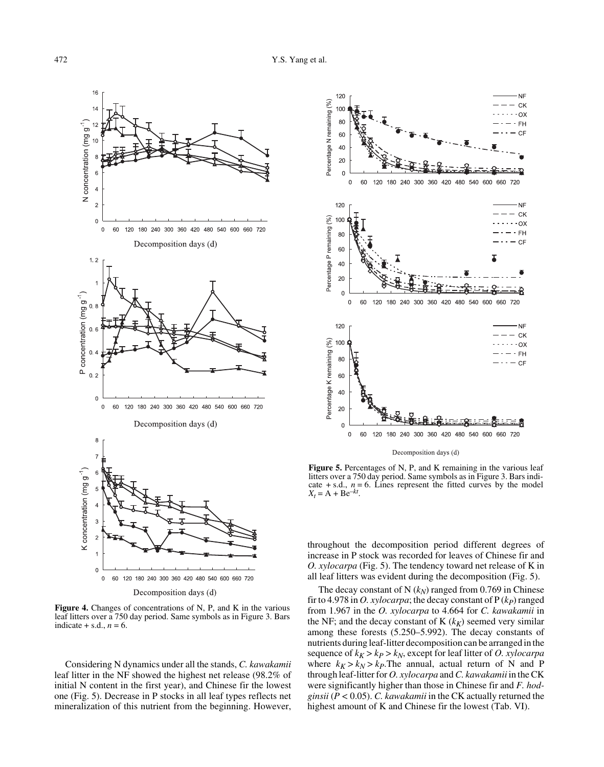

**Figure 4.** Changes of concentrations of N, P, and K in the various leaf litters over a 750 day period. Same symbols as in Figure 3. Bars indicate  $+$  s.d.,  $n = 6$ .

Considering N dynamics under all the stands, *C. kawakamii* leaf litter in the NF showed the highest net release (98.2% of initial N content in the first year), and Chinese fir the lowest one (Fig. 5). Decrease in P stocks in all leaf types reflects net mineralization of this nutrient from the beginning. However,



Figure 5. Percentages of N, P, and K remaining in the various leaf litters over a 750 day period. Same symbols as in Figure 3. Bars indicate  $+ s.d., n = 6.$  Lines represent the fitted curves by the model  $X_t = A + Be^{-kt}$ .

throughout the decomposition period different degrees of increase in P stock was recorded for leaves of Chinese fir and *O. xylocarpa* (Fig. 5). The tendency toward net release of K in all leaf litters was evident during the decomposition (Fig. 5).

The decay constant of N  $(k_N)$  ranged from 0.769 in Chinese fir to 4.978 in *O. xylocarpa*; the decay constant of  $P(k_P)$  ranged from 1.967 in the *O. xylocarpa* to 4.664 for *C. kawakamii* in the NF; and the decay constant of K  $(k_K)$  seemed very similar among these forests (5.250–5.992). The decay constants of nutrients during leaf-litter decomposition can be arranged in the sequence of  $k_K > k_P > k_N$ , except for leaf litter of *O. xylocarpa* where  $k_K > k_N > k_P$ . The annual, actual return of N and P through leaf-litter for *O. xylocarpa* and *C. kawakamii* in the CK were significantly higher than those in Chinese fir and *F. hodginsii* (*P* < 0.05). *C. kawakamii* in the CK actually returned the highest amount of K and Chinese fir the lowest (Tab. VI).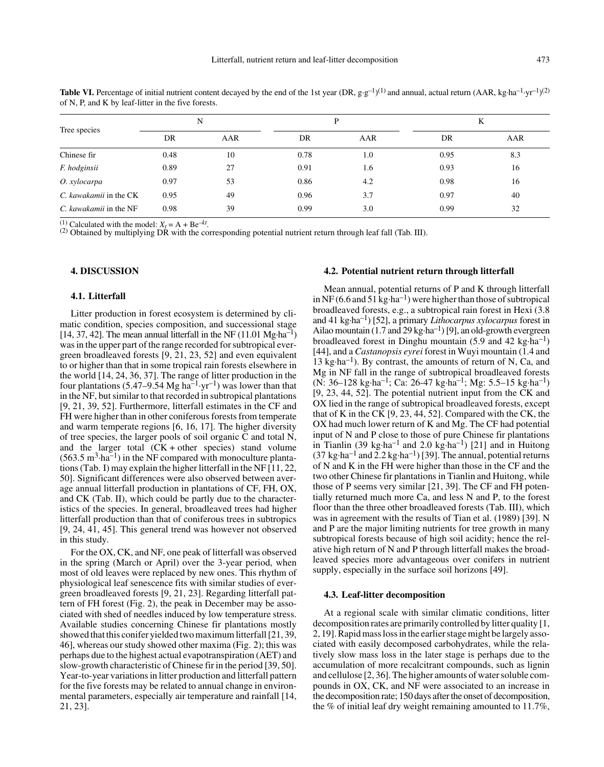|                        | N    |     |      | P   | K    |     |
|------------------------|------|-----|------|-----|------|-----|
| Tree species           | DR   | AAR | DR   | AAR | DR   | AAR |
| Chinese fir            | 0.48 | 10  | 0.78 | 1.0 | 0.95 | 8.3 |
| F. hodginsii           | 0.89 | 27  | 0.91 | 1.6 | 0.93 | 16  |
| O. xylocarpa           | 0.97 | 53  | 0.86 | 4.2 | 0.98 | 16  |
| C. kawakamii in the CK | 0.95 | 49  | 0.96 | 3.7 | 0.97 | 40  |
| C. kawakamii in the NF | 0.98 | 39  | 0.99 | 3.0 | 0.99 | 32  |

**Table VI.** Percentage of initial nutrient content decayed by the end of the 1st year (DR,  $g \cdot g^{-1/1}$ ) and annual, actual return (AAR, kg·ha<sup>-1</sup>·yr<sup>-1</sup>)<sup>(2)</sup> of N, P, and K by leaf-litter in the five forests.

<sup>(1)</sup> Calculated with the model:  $X_t = A + Be^{-kt}$ .<br><sup>(2)</sup> Obtained by multiplying DR with the corresponding potential nutrient return through leaf fall (Tab. III).

# **4. DISCUSSION**

## **4.1. Litterfall**

Litter production in forest ecosystem is determined by climatic condition, species composition, and successional stage [14, 37, 42]. The mean annual litterfall in the NF  $(11.01 \text{ Mg} \cdot \text{ha}^{-1})$ was in the upper part of the range recorded for subtropical evergreen broadleaved forests [9, 21, 23, 52] and even equivalent to or higher than that in some tropical rain forests elsewhere in the world [14, 24, 36, 37]. The range of litter production in the four plantations (5.47–9.54 Mg ha<sup>-1</sup>·yr<sup>-1</sup>) was lower than that in the NF, but similar to that recorded in subtropical plantations [9, 21, 39, 52]. Furthermore, litterfall estimates in the CF and FH were higher than in other coniferous forests from temperate and warm temperate regions [6, 16, 17]. The higher diversity of tree species, the larger pools of soil organic C and total N, and the larger total  $(CK + other)$  species) stand volume  $(563.5 \text{ m}^3 \cdot \text{ha}^{-1})$  in the NF compared with monoculture plantations (Tab. I) may explain the higher litterfall in the NF [11, 22, 50]. Significant differences were also observed between average annual litterfall production in plantations of CF, FH, OX, and CK (Tab. II), which could be partly due to the characteristics of the species. In general, broadleaved trees had higher litterfall production than that of coniferous trees in subtropics [9, 24, 41, 45]. This general trend was however not observed in this study.

For the OX, CK, and NF, one peak of litterfall was observed in the spring (March or April) over the 3-year period, when most of old leaves were replaced by new ones. This rhythm of physiological leaf senescence fits with similar studies of evergreen broadleaved forests [9, 21, 23]. Regarding litterfall pattern of FH forest (Fig. 2), the peak in December may be associated with shed of needles induced by low temperature stress. Available studies concerning Chinese fir plantations mostly showed that this conifer yielded two maximum litterfall [21, 39, 46], whereas our study showed other maxima (Fig. 2); this was perhaps due to the highest actual evapotranspiration (AET) and slow-growth characteristic of Chinese fir in the period [39, 50]. Year-to-year variations in litter production and litterfall pattern for the five forests may be related to annual change in environmental parameters, especially air temperature and rainfall [14, 21, 23].

## **4.2. Potential nutrient return through litterfall**

Mean annual, potential returns of P and K through litterfall in NF (6.6 and 51 kg·ha<sup>-1</sup>) were higher than those of subtropical broadleaved forests, e.g., a subtropical rain forest in Hexi (3.8 and 41 kg·ha–1) [52], a primary *Lithocarpus xylocarpus* forest in Ailao mountain (1.7 and 29 kg·ha<sup>-1</sup>) [9], an old-growth evergreen broadleaved forest in Dinghu mountain  $(5.9 \text{ and } 42 \text{ kg} \cdot \text{ha}^{-1})$ [44], and a *Castanopsis eyrei* forest in Wuyi mountain (1.4 and 13 kg $\cdot$ ha<sup>-1</sup>). By contrast, the amounts of return of N, Ca, and Mg in NF fall in the range of subtropical broadleaved forests (N: 36–128 kg·ha–1; Ca: 26-47 kg·ha–1; Mg: 5.5–15 kg·ha–1) [9, 23, 44, 52]. The potential nutrient input from the CK and OX lied in the range of subtropical broadleaved forests, except that of K in the CK [9, 23, 44, 52]. Compared with the CK, the OX had much lower return of K and Mg. The CF had potential input of N and P close to those of pure Chinese fir plantations in Tianlin (39 kg·ha<sup>-1</sup> and 2.0 kg·ha<sup>-1</sup>) [21] and in Huitong  $(37 \text{ kg} \cdot \text{ha}^{-1} \text{ and } 2.2 \text{ kg} \cdot \text{ha}^{-1})$  [39]. The annual, potential returns of N and K in the FH were higher than those in the CF and the two other Chinese fir plantations in Tianlin and Huitong, while those of P seems very similar [21, 39]. The CF and FH potentially returned much more Ca, and less N and P, to the forest floor than the three other broadleaved forests (Tab. III), which was in agreement with the results of Tian et al. (1989) [39]. N and P are the major limiting nutrients for tree growth in many subtropical forests because of high soil acidity; hence the relative high return of N and P through litterfall makes the broadleaved species more advantageous over conifers in nutrient supply, especially in the surface soil horizons [49].

#### **4.3. Leaf-litter decomposition**

At a regional scale with similar climatic conditions, litter decomposition rates are primarily controlled by litter quality [1, 2, 19]. Rapid mass loss in the earlier stage might be largely associated with easily decomposed carbohydrates, while the relatively slow mass loss in the later stage is perhaps due to the accumulation of more recalcitrant compounds, such as lignin and cellulose [2, 36]. The higher amounts of water soluble compounds in OX, CK, and NF were associated to an increase in the decomposition rate; 150 days after the onset of decomposition, the % of initial leaf dry weight remaining amounted to 11.7%,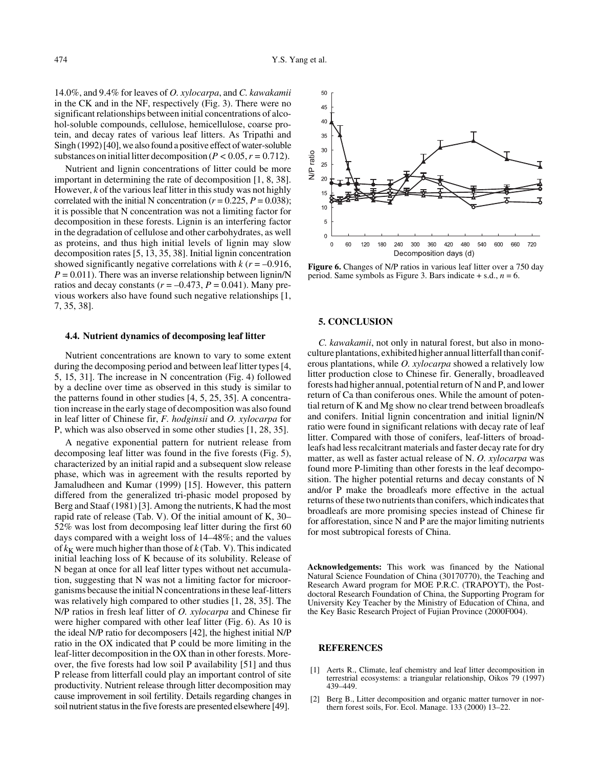14.0%, and 9.4% for leaves of *O. xylocarpa*, and *C. kawakamii* in the CK and in the NF, respectively (Fig. 3). There were no significant relationships between initial concentrations of alcohol-soluble compounds, cellulose, hemicellulose, coarse protein, and decay rates of various leaf litters. As Tripathi and Singh (1992) [40], we also found a positive effect of water-soluble substances on initial litter decomposition ( $P < 0.05$ ,  $r = 0.712$ ).

Nutrient and lignin concentrations of litter could be more important in determining the rate of decomposition [1, 8, 38]. However, *k* of the various leaf litter in this study was not highly correlated with the initial N concentration ( $r = 0.225$ ,  $P = 0.038$ ); it is possible that N concentration was not a limiting factor for decomposition in these forests. Lignin is an interfering factor in the degradation of cellulose and other carbohydrates, as well as proteins, and thus high initial levels of lignin may slow decomposition rates [5, 13, 35, 38]. Initial lignin concentration showed significantly negative correlations with  $k(r = -0.916$ ,  $P = 0.011$ ). There was an inverse relationship between lignin/N ratios and decay constants  $(r = -0.473, P = 0.041)$ . Many previous workers also have found such negative relationships [1, 7, 35, 38].

## **4.4. Nutrient dynamics of decomposing leaf litter**

Nutrient concentrations are known to vary to some extent during the decomposing period and between leaf litter types [4, 5, 15, 31]. The increase in N concentration (Fig. 4) followed by a decline over time as observed in this study is similar to the patterns found in other studies [4, 5, 25, 35]. A concentration increase in the early stage of decomposition was also found in leaf litter of Chinese fir, *F. hodginsii* and *O. xylocarpa* for P, which was also observed in some other studies [1, 28, 35].

A negative exponential pattern for nutrient release from decomposing leaf litter was found in the five forests (Fig. 5), characterized by an initial rapid and a subsequent slow release phase, which was in agreement with the results reported by Jamaludheen and Kumar (1999) [15]. However, this pattern differed from the generalized tri-phasic model proposed by Berg and Staaf (1981) [3]. Among the nutrients, K had the most rapid rate of release (Tab. V). Of the initial amount of K, 30– 52% was lost from decomposing leaf litter during the first 60 days compared with a weight loss of 14–48%; and the values of  $k_K$  were much higher than those of  $k$  (Tab. V). This indicated initial leaching loss of K because of its solubility. Release of N began at once for all leaf litter types without net accumulation, suggesting that N was not a limiting factor for microorganisms because the initial N concentrations in these leaf-litters was relatively high compared to other studies [1, 28, 35]. The N/P ratios in fresh leaf litter of *O. xylocarpa* and Chinese fir were higher compared with other leaf litter (Fig. 6). As 10 is the ideal N/P ratio for decomposers [42], the highest initial N/P ratio in the OX indicated that P could be more limiting in the leaf-litter decomposition in the OX than in other forests. Moreover, the five forests had low soil P availability [51] and thus P release from litterfall could play an important control of site productivity. Nutrient release through litter decomposition may cause improvement in soil fertility. Details regarding changes in soil nutrient status in the five forests are presented elsewhere [49].



Figure 6. Changes of N/P ratios in various leaf litter over a 750 day period. Same symbols as Figure 3. Bars indicate + s.d., *n* = 6.

# **5. CONCLUSION**

*C. kawakamii*, not only in natural forest, but also in monoculture plantations, exhibited higher annual litterfall than coniferous plantations, while *O. xylocarpa* showed a relatively low litter production close to Chinese fir. Generally, broadleaved forests had higher annual, potential return of N and P, and lower return of Ca than coniferous ones. While the amount of potential return of K and Mg show no clear trend between broadleafs and conifers. Initial lignin concentration and initial lignin/N ratio were found in significant relations with decay rate of leaf litter. Compared with those of conifers, leaf-litters of broadleafs had less recalcitrant materials and faster decay rate for dry matter, as well as faster actual release of N. *O. xylocarpa* was found more P-limiting than other forests in the leaf decomposition. The higher potential returns and decay constants of N and/or P make the broadleafs more effective in the actual returns of these two nutrients than conifers, which indicates that broadleafs are more promising species instead of Chinese fir for afforestation, since N and P are the major limiting nutrients for most subtropical forests of China.

**Acknowledgements:** This work was financed by the National Natural Science Foundation of China (30170770), the Teaching and Research Award program for MOE P.R.C. (TRAPOYT), the Postdoctoral Research Foundation of China, the Supporting Program for University Key Teacher by the Ministry of Education of China, and the Key Basic Research Project of Fujian Province (2000F004).

# **REFERENCES**

- [1] Aerts R., Climate, leaf chemistry and leaf litter decomposition in terrestrial ecosystems: a triangular relationship, Oikos 79 (1997) 439–449.
- [2] Berg B., Litter decomposition and organic matter turnover in northern forest soils, For. Ecol. Manage. 133 (2000) 13–22.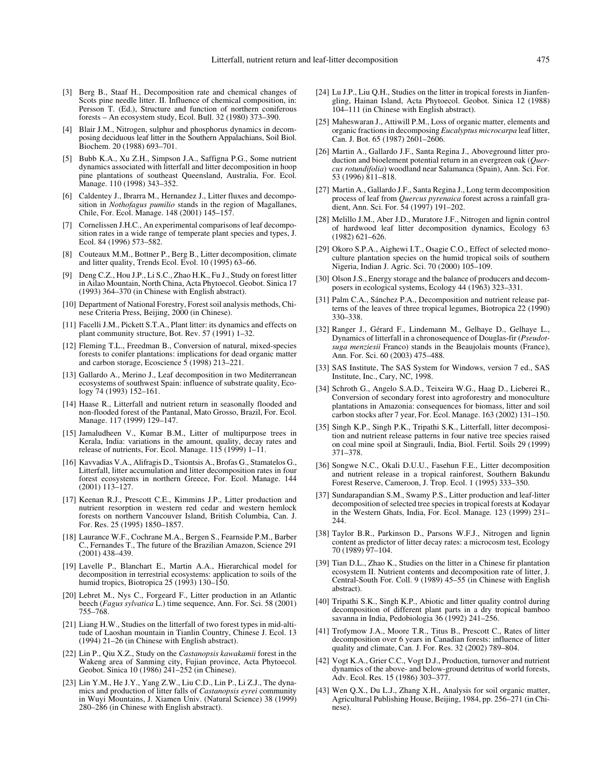- [3] Berg B., Staaf H., Decomposition rate and chemical changes of Scots pine needle litter. II. Influence of chemical composition, in: Persson T. (Ed.), Structure and function of northern coniferous forests – An ecosystem study, Ecol. Bull. 32 (1980) 373–390.
- [4] Blair J.M., Nitrogen, sulphur and phosphorus dynamics in decomposing deciduous leaf litter in the Southern Appalachians, Soil Biol. Biochem. 20 (1988) 693–701.
- [5] Bubb K.A., Xu Z.H., Simpson J.A., Saffigna P.G., Some nutrient dynamics associated with litterfall and litter decomposition in hoop pine plantations of southeast Queensland, Australia, For. Ecol. Manage. 110 (1998) 343–352.
- [6] Caldentey J., Ibrarra M., Hernandez J., Litter fluxes and decomposition in *Nothofagus pumilio* stands in the region of Magallanes, Chile, For. Ecol. Manage. 148 (2001) 145–157.
- [7] Cornelissen J.H.C., An experimental comparisons of leaf decomposition rates in a wide range of temperate plant species and types, J. Ecol. 84 (1996) 573–582.
- [8] Couteaux M.M., Bottner P., Berg B., Litter decomposition, climate and litter quality, Trends Ecol. Evol. 10 (1995) 63–66.
- [9] Deng C.Z., Hou J.P., Li S.C., Zhao H.K., Fu J., Study on forest litter in Ailao Mountain, North China, Acta Phytoecol. Geobot. Sinica 17 (1993) 364–370 (in Chinese with English abstract).
- [10] Department of National Forestry, Forest soil analysis methods, Chinese Criteria Press, Beijing, 2000 (in Chinese).
- [11] Facelli J.M., Pickett S.T.A., Plant litter: its dynamics and effects on plant community structure, Bot. Rev. 57 (1991) 1–32.
- [12] Fleming T.L., Freedman B., Conversion of natural, mixed-species forests to conifer plantations: implications for dead organic matter and carbon storage, Ecoscience 5 (1998) 213–221.
- [13] Gallardo A., Merino J., Leaf decomposition in two Mediterranean ecosystems of southwest Spain: influence of substrate quality, Ecology 74 (1993) 152–161.
- [14] Haase R., Litterfall and nutrient return in seasonally flooded and non-flooded forest of the Pantanal, Mato Grosso, Brazil, For. Ecol. Manage. 117 (1999) 129–147.
- [15] Jamaludheen V., Kumar B.M., Litter of multipurpose trees in Kerala, India: variations in the amount, quality, decay rates and release of nutrients, For. Ecol. Manage. 115 (1999) 1–11.
- [16] Kavvadias V.A., Alifragis D., Tsiontsis A., Brofas G., Stamatelos G., Litterfall, litter accumulation and litter decomposition rates in four forest ecosystems in northern Greece, For. Ecol. Manage. 144 (2001) 113–127.
- [17] Keenan R.J., Prescott C.E., Kimmins J.P., Litter production and nutrient resorption in western red cedar and western hemlock forests on northern Vancouver Island, British Columbia, Can. J. For. Res. 25 (1995) 1850–1857.
- [18] Laurance W.F., Cochrane M.A., Bergen S., Fearnside P.M., Barber C., Fernandes T., The future of the Brazilian Amazon, Science 291 (2001) 438–439.
- [19] Lavelle P., Blanchart E., Martin A.A., Hierarchical model for decomposition in terrestrial ecosystems: application to soils of the humid tropics, Biotropica 25 (1993) 130–150.
- [20] Lebret M., Nys C., Forgeard F., Litter production in an Atlantic beech (*Fagus sylvatica* L.) time sequence, Ann. For. Sci. 58 (2001) 755–768.
- [21] Liang H.W., Studies on the litterfall of two forest types in mid-altitude of Laoshan mountain in Tianlin Country, Chinese J. Ecol. 13 (1994) 21–26 (in Chinese with English abstract).
- [22] Lin P., Qiu X.Z., Study on the *Castanopsis kawakamii* forest in the Wakeng area of Sanming city, Fujian province, Acta Phytoecol. Geobot. Sinica 10 (1986) 241–252 (in Chinese).
- [23] Lin Y.M., He J.Y., Yang Z.W., Liu C.D., Lin P., Li Z.J., The dynamics and production of litter falls of *Castanopsis eyrei* community in Wuyi Mountains, J. Xiamen Univ. (Natural Science) 38 (1999) 280–286 (in Chinese with English abstract).
- [24] Lu J.P., Liu Q.H., Studies on the litter in tropical forests in Jianfengling, Hainan Island, Acta Phytoecol. Geobot. Sinica 12 (1988) 104–111 (in Chinese with English abstract).
- [25] Maheswaran J., Attiwill P.M., Loss of organic matter, elements and organic fractions in decomposing *Eucalyptus microcarpa* leaf litter, Can. J. Bot. 65 (1987) 2601–2606.
- [26] Martin A., Gallardo J.F., Santa Regina J., Aboveground litter production and bioelement potential return in an evergreen oak (*Quercus rotundifolia*) woodland near Salamanca (Spain), Ann. Sci. For. 53 (1996) 811–818.
- [27] Martin A., Gallardo J.F., Santa Regina J., Long term decomposition process of leaf from *Quercus pyrenaica* forest across a rainfall gradient, Ann. Sci. For. 54 (1997) 191–202.
- [28] Melillo J.M., Aber J.D., Muratore J.F., Nitrogen and lignin control of hardwood leaf litter decomposition dynamics, Ecology 63 (1982) 621–626.
- [29] Okoro S.P.A., Aighewi I.T., Osagie C.O., Effect of selected monoculture plantation species on the humid tropical soils of southern Nigeria, Indian J. Agric. Sci. 70 (2000) 105–109.
- [30] Olson J.S., Energy storage and the balance of producers and decomposers in ecological systems, Ecology 44 (1963) 323–331.
- [31] Palm C.A., Sánchez P.A., Decomposition and nutrient release patterns of the leaves of three tropical legumes, Biotropica 22 (1990) 330–338.
- [32] Ranger J., Gérard F., Lindemann M., Gelhaye D., Gelhaye L., Dynamics of litterfall in a chronosequence of Douglas-fir (*Pseudotsuga menziesii* Franco) stands in the Beaujolais mounts (France), Ann. For. Sci. 60 (2003) 475–488.
- [33] SAS Institute, The SAS System for Windows, version 7 ed., SAS Institute, Inc., Cary, NC, 1998.
- [34] Schroth G., Angelo S.A.D., Teixeira W.G., Haag D., Lieberei R., Conversion of secondary forest into agroforestry and monoculture plantations in Amazonia: consequences for biomass, litter and soil carbon stocks after 7 year, For. Ecol. Manage. 163 (2002) 131–150.
- [35] Singh K.P., Singh P.K., Tripathi S.K., Litterfall, litter decomposition and nutrient release patterns in four native tree species raised on coal mine spoil at Singrauli, India, Biol. Fertil. Soils 29 (1999) 371–378.
- [36] Songwe N.C., Okali D.U.U., Fasehun F.E., Litter decomposition and nutrient release in a tropical rainforest, Southern Bakundu Forest Reserve, Cameroon, J. Trop. Ecol. 1 (1995) 333–350.
- [37] Sundarapandian S.M., Swamy P.S., Litter production and leaf-litter decomposition of selected tree species in tropical forests at Kodayar in the Western Ghats, India, For. Ecol. Manage*.* 123 (1999) 231– 244.
- [38] Taylor B.R., Parkinson D., Parsons W.F.J., Nitrogen and lignin content as predictor of litter decay rates: a microcosm test, Ecology 70 (1989) 97–104.
- [39] Tian D.L., Zhao K., Studies on the litter in a Chinese fir plantation ecosystem II. Nutrient contents and decomposition rate of litter, J. Central-South For. Coll. 9 (1989) 45–55 (in Chinese with English abstract).
- [40] Tripathi S.K., Singh K.P., Abiotic and litter quality control during decomposition of different plant parts in a dry tropical bamboo savanna in India, Pedobiologia 36 (1992) 241–256.
- [41] Trofymow J.A., Moore T.R., Titus B., Prescott C., Rates of litter decomposition over 6 years in Canadian forests: influence of litter quality and climate, Can. J. For. Res. 32 (2002) 789–804.
- [42] Vogt K.A., Grier C.C., Vogt D.J., Production, turnover and nutrient dynamics of the above- and below-ground detritus of world forests, Adv. Ecol. Res. 15 (1986) 303–377.
- [43] Wen Q.X., Du L.J., Zhang X.H., Analysis for soil organic matter, Agricultural Publishing House, Beijing, 1984, pp. 256–271 (in Chinese).